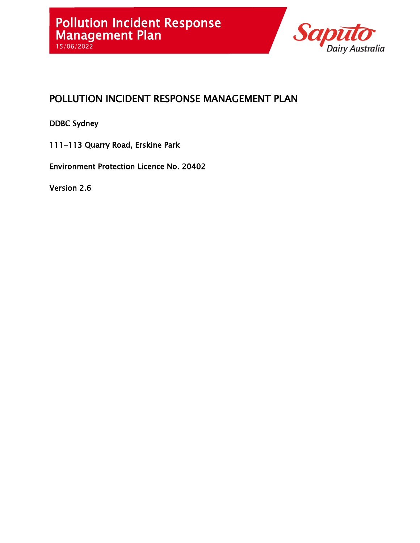

# POLLUTION INCIDENT RESPONSE MANAGEMENT PLAN

DDBC Sydney

111-113 Quarry Road, Erskine Park

Environment Protection Licence No. 20402

Version 2.6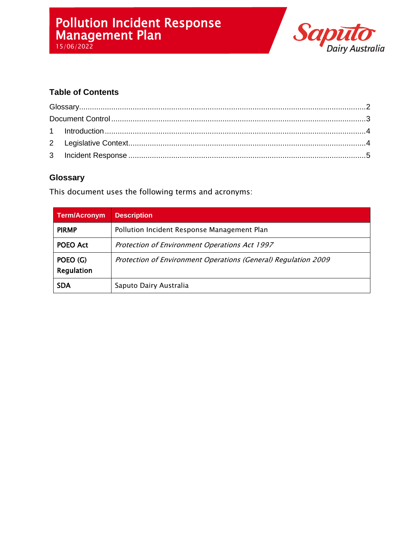# Pollution Incident Response Management Plan



15/06/2022

## **Table of Contents**

### <span id="page-1-0"></span>**Glossary**

This document uses the following terms and acronyms:

| <b>Term/Acronym</b>    | <b>Description</b>                                             |  |  |
|------------------------|----------------------------------------------------------------|--|--|
| <b>PIRMP</b>           | Pollution Incident Response Management Plan                    |  |  |
| POEO Act               | Protection of Environment Operations Act 1997                  |  |  |
| POEO (G)<br>Regulation | Protection of Environment Operations (General) Regulation 2009 |  |  |
| <b>SDA</b>             | Saputo Dairy Australia                                         |  |  |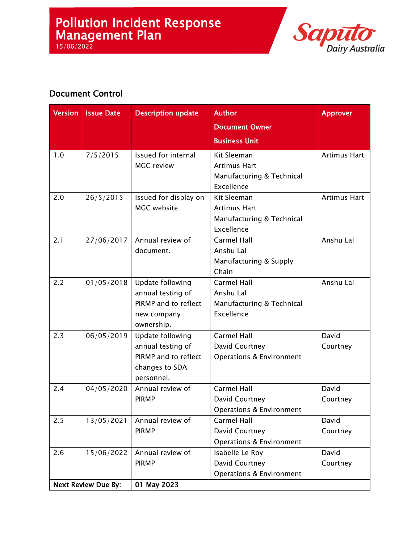# Pollution Incident Response Management Plan

15/06/2022



# <span id="page-2-0"></span>Document Control

| <b>Version</b>             | <b>Issue Date</b> | <b>Description update</b>                | Author<br><b>Document Owner</b>            | <b>Approver</b>     |
|----------------------------|-------------------|------------------------------------------|--------------------------------------------|---------------------|
|                            |                   |                                          | <b>Business Unit</b>                       |                     |
| 1.0                        | 7/5/2015          | Issued for internal<br><b>MGC</b> review | Kit Sleeman<br><b>Artimus Hart</b>         | <b>Artimus Hart</b> |
|                            |                   |                                          | Manufacturing & Technical<br>Excellence    |                     |
| 2.0                        | 26/5/2015         | Issued for display on                    | Kit Sleeman                                | <b>Artimus Hart</b> |
|                            |                   | MGC website                              | Artimus Hart                               |                     |
|                            |                   |                                          | Manufacturing & Technical<br>Excellence    |                     |
| 2.1                        | 27/06/2017        | Annual review of                         | Carmel Hall                                | Anshu Lal           |
|                            |                   | document.                                | Anshu Lal                                  |                     |
|                            |                   |                                          | Manufacturing & Supply                     |                     |
|                            |                   |                                          | Chain                                      |                     |
| 2.2                        | 01/05/2018        | Update following                         | Carmel Hall                                | Anshu Lal           |
|                            |                   | annual testing of                        | Anshu Lal                                  |                     |
|                            |                   | PIRMP and to reflect                     | Manufacturing & Technical                  |                     |
|                            |                   | new company                              | Excellence                                 |                     |
|                            |                   | ownership.                               |                                            |                     |
| 2.3                        | 06/05/2019        | Update following                         | Carmel Hall                                | David               |
|                            |                   | annual testing of                        | David Courtney                             | Courtney            |
|                            |                   | PIRMP and to reflect                     | <b>Operations &amp; Environment</b>        |                     |
|                            |                   | changes to SDA                           |                                            |                     |
| 2.4                        |                   | personnel.                               | Carmel Hall                                | David               |
|                            | 04/05/2020        | Annual review of<br><b>PIRMP</b>         |                                            |                     |
|                            |                   |                                          | David Courtney<br>Operations & Environment | Courtney            |
| 2.5                        | 13/05/2021        | Annual review of                         | Carmel Hall                                | David               |
|                            |                   | <b>PIRMP</b>                             | David Courtney                             | Courtney            |
|                            |                   |                                          | <b>Operations &amp; Environment</b>        |                     |
| 2.6                        | 15/06/2022        | Annual review of                         | Isabelle Le Roy                            | David               |
|                            |                   | <b>PIRMP</b>                             | David Courtney                             | Courtney            |
|                            |                   |                                          | <b>Operations &amp; Environment</b>        |                     |
| <b>Next Review Due By:</b> |                   | 01 May 2023                              |                                            |                     |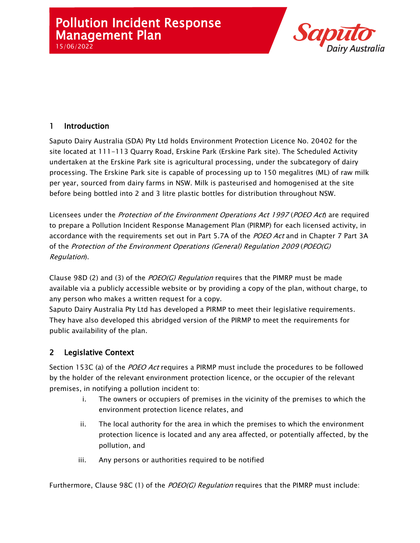# Pollution Incident Response Management Plan 15/06/2022



### <span id="page-3-0"></span>1 Introduction

Saputo Dairy Australia (SDA) Pty Ltd holds Environment Protection Licence No. 20402 for the site located at 111-113 Quarry Road, Erskine Park (Erskine Park site). The Scheduled Activity undertaken at the Erskine Park site is agricultural processing, under the subcategory of dairy processing. The Erskine Park site is capable of processing up to 150 megalitres (ML) of raw milk per year, sourced from dairy farms in NSW. Milk is pasteurised and homogenised at the site before being bottled into 2 and 3 litre plastic bottles for distribution throughout NSW.

Licensees under the *Protection of the Environment Operations Act 1997 (POEO Act*) are required to prepare a Pollution Incident Response Management Plan (PIRMP) for each licensed activity, in accordance with the requirements set out in Part 5.7A of the POEO Act and in Chapter 7 Part 3A of the Protection of the Environment Operations (General) Regulation 2009 (POEO(G) Regulation).

Clause 98D (2) and (3) of the  $POEO(G)$  Regulation requires that the PIMRP must be made available via a publicly accessible website or by providing a copy of the plan, without charge, to any person who makes a written request for a copy.

Saputo Dairy Australia Pty Ltd has developed a PIRMP to meet their legislative requirements. They have also developed this abridged version of the PIRMP to meet the requirements for public availability of the plan.

## <span id="page-3-1"></span>2 Legislative Context

Section 153C (a) of the *POEO Act* requires a PIRMP must include the procedures to be followed by the holder of the relevant environment protection licence, or the occupier of the relevant premises, in notifying a pollution incident to:

- i. The owners or occupiers of premises in the vicinity of the premises to which the environment protection licence relates, and
- ii. The local authority for the area in which the premises to which the environment protection licence is located and any area affected, or potentially affected, by the pollution, and
- iii. Any persons or authorities required to be notified

Furthermore, Clause 98C (1) of the *POEO(G) Regulation* requires that the PIMRP must include: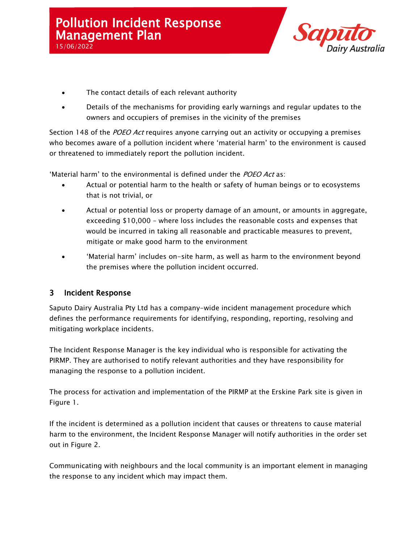

- The contact details of each relevant authority
- Details of the mechanisms for providing early warnings and regular updates to the owners and occupiers of premises in the vicinity of the premises

Section 148 of the POEO Act requires anyone carrying out an activity or occupying a premises who becomes aware of a pollution incident where 'material harm' to the environment is caused or threatened to immediately report the pollution incident.

'Material harm' to the environmental is defined under the POEO Act as:

- Actual or potential harm to the health or safety of human beings or to ecosystems that is not trivial, or
- Actual or potential loss or property damage of an amount, or amounts in aggregate, exceeding \$10,000 – where loss includes the reasonable costs and expenses that would be incurred in taking all reasonable and practicable measures to prevent, mitigate or make good harm to the environment
- 'Material harm' includes on-site harm, as well as harm to the environment beyond the premises where the pollution incident occurred.

#### <span id="page-4-0"></span>3 Incident Response

Saputo Dairy Australia Pty Ltd has a company-wide incident management procedure which defines the performance requirements for identifying, responding, reporting, resolving and mitigating workplace incidents.

The Incident Response Manager is the key individual who is responsible for activating the PIRMP. They are authorised to notify relevant authorities and they have responsibility for managing the response to a pollution incident.

The process for activation and implementation of the PIRMP at the Erskine Park site is given in [Figure 1.](#page-6-0)

If the incident is determined as a pollution incident that causes or threatens to cause material harm to the environment, the Incident Response Manager will notify authorities in the order set out in [Figure 2.](#page-7-0)

Communicating with neighbours and the local community is an important element in managing the response to any incident which may impact them.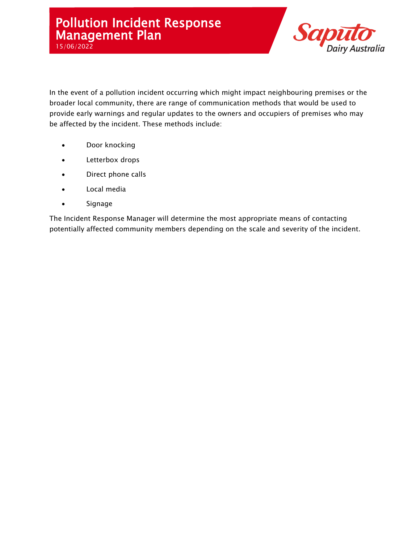

In the event of a pollution incident occurring which might impact neighbouring premises or the broader local community, there are range of communication methods that would be used to provide early warnings and regular updates to the owners and occupiers of premises who may be affected by the incident. These methods include:

- Door knocking
- Letterbox drops
- Direct phone calls
- Local media
- Signage

The Incident Response Manager will determine the most appropriate means of contacting potentially affected community members depending on the scale and severity of the incident.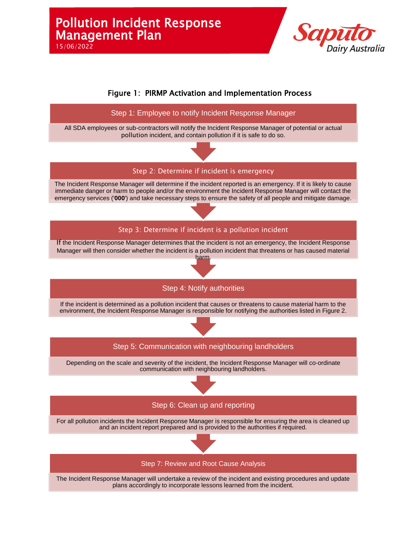

<span id="page-6-0"></span>